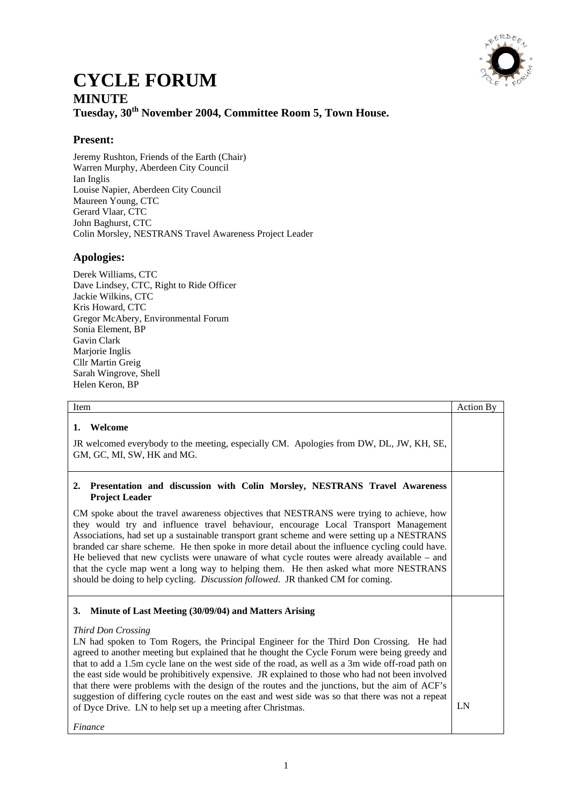

## **CYCLE FORUM MINUTE** Tuesday,  $30<sup>th</sup>$  November 2004, Committee Room 5, Town House.

## **Present:**

Jeremy Rushton, Friends of the Earth (Chair) Warren Murphy, Aberdeen City Council Ian Inglis Louise Napier, Aberdeen City Council Maureen Young, CTC Gerard Vlaar, CTC John Baghurst, CTC Colin Morsley, NESTRANS Travel Awareness Project Leader

### **Apologies:**

Derek Williams, CTC Dave Lindsey, CTC, Right to Ride Officer Jackie Wilkins, CTC Kris Howard, CTC Gregor McAbery, Environmental Forum Sonia Element, BP Gavin Clark Marjorie Inglis Cllr Martin Greig Sarah Wingrove, Shell Helen Keron, BP

| Item                                                                                                                                                                                                                                                                                                                                                                                                                                                                                                                                                                                                                                                                                                                                                                     | <b>Action By</b> |
|--------------------------------------------------------------------------------------------------------------------------------------------------------------------------------------------------------------------------------------------------------------------------------------------------------------------------------------------------------------------------------------------------------------------------------------------------------------------------------------------------------------------------------------------------------------------------------------------------------------------------------------------------------------------------------------------------------------------------------------------------------------------------|------------------|
| Welcome<br>1.<br>JR welcomed everybody to the meeting, especially CM. Apologies from DW, DL, JW, KH, SE,<br>GM, GC, MI, SW, HK and MG.                                                                                                                                                                                                                                                                                                                                                                                                                                                                                                                                                                                                                                   |                  |
| Presentation and discussion with Colin Morsley, NESTRANS Travel Awareness<br>2.<br><b>Project Leader</b><br>CM spoke about the travel awareness objectives that NESTRANS were trying to achieve, how<br>they would try and influence travel behaviour, encourage Local Transport Management<br>Associations, had set up a sustainable transport grant scheme and were setting up a NESTRANS<br>branded car share scheme. He then spoke in more detail about the influence cycling could have.<br>He believed that new cyclists were unaware of what cycle routes were already available – and<br>that the cycle map went a long way to helping them. He then asked what more NESTRANS<br>should be doing to help cycling. Discussion followed. JR thanked CM for coming. |                  |
| Minute of Last Meeting (30/09/04) and Matters Arising<br>3.<br>Third Don Crossing<br>LN had spoken to Tom Rogers, the Principal Engineer for the Third Don Crossing. He had<br>agreed to another meeting but explained that he thought the Cycle Forum were being greedy and<br>that to add a 1.5m cycle lane on the west side of the road, as well as a 3m wide off-road path on<br>the east side would be prohibitively expensive. JR explained to those who had not been involved<br>that there were problems with the design of the routes and the junctions, but the aim of ACF's<br>suggestion of differing cycle routes on the east and west side was so that there was not a repeat<br>of Dyce Drive. LN to help set up a meeting after Christmas.<br>Finance    | LN               |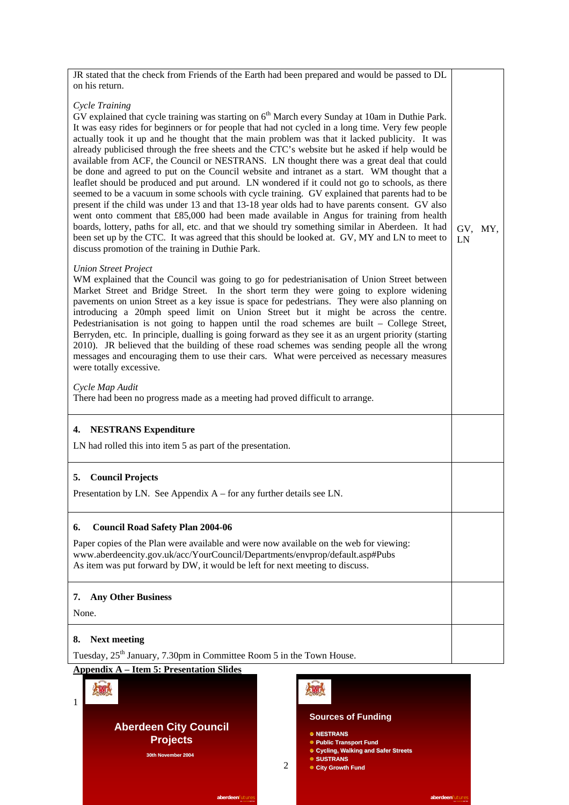| JR stated that the check from Friends of the Earth had been prepared and would be passed to DL                                                                                                                                                                                                                                                                                                                                                                                                                                                                                                                                                                                                                                                                                                                                                                                                                                                                                                                                                                                                                                                                                                                                                                                                  |               |  |
|-------------------------------------------------------------------------------------------------------------------------------------------------------------------------------------------------------------------------------------------------------------------------------------------------------------------------------------------------------------------------------------------------------------------------------------------------------------------------------------------------------------------------------------------------------------------------------------------------------------------------------------------------------------------------------------------------------------------------------------------------------------------------------------------------------------------------------------------------------------------------------------------------------------------------------------------------------------------------------------------------------------------------------------------------------------------------------------------------------------------------------------------------------------------------------------------------------------------------------------------------------------------------------------------------|---------------|--|
| on his return.                                                                                                                                                                                                                                                                                                                                                                                                                                                                                                                                                                                                                                                                                                                                                                                                                                                                                                                                                                                                                                                                                                                                                                                                                                                                                  |               |  |
| Cycle Training<br>GV explained that cycle training was starting on 6 <sup>th</sup> March every Sunday at 10am in Duthie Park.<br>It was easy rides for beginners or for people that had not cycled in a long time. Very few people<br>actually took it up and he thought that the main problem was that it lacked publicity. It was<br>already publicised through the free sheets and the CTC's website but he asked if help would be<br>available from ACF, the Council or NESTRANS. LN thought there was a great deal that could<br>be done and agreed to put on the Council website and intranet as a start. WM thought that a<br>leaflet should be produced and put around. LN wondered if it could not go to schools, as there<br>seemed to be a vacuum in some schools with cycle training. GV explained that parents had to be<br>present if the child was under 13 and that 13-18 year olds had to have parents consent. GV also<br>went onto comment that £85,000 had been made available in Angus for training from health<br>boards, lottery, paths for all, etc. and that we should try something similar in Aberdeen. It had<br>been set up by the CTC. It was agreed that this should be looked at. GV, MY and LN to meet to<br>discuss promotion of the training in Duthie Park. | GV, MY,<br>LN |  |
| <b>Union Street Project</b><br>WM explained that the Council was going to go for pedestrianisation of Union Street between<br>Market Street and Bridge Street. In the short term they were going to explore widening<br>pavements on union Street as a key issue is space for pedestrians. They were also planning on<br>introducing a 20mph speed limit on Union Street but it might be across the centre.<br>Pedestrianisation is not going to happen until the road schemes are built – College Street,<br>Berryden, etc. In principle, dualling is going forward as they see it as an urgent priority (starting<br>2010). JR believed that the building of these road schemes was sending people all the wrong<br>messages and encouraging them to use their cars. What were perceived as necessary measures<br>were totally excessive.<br>Cycle Map Audit<br>There had been no progress made as a meeting had proved difficult to arrange.                                                                                                                                                                                                                                                                                                                                                 |               |  |
|                                                                                                                                                                                                                                                                                                                                                                                                                                                                                                                                                                                                                                                                                                                                                                                                                                                                                                                                                                                                                                                                                                                                                                                                                                                                                                 |               |  |
| <b>NESTRANS Expenditure</b><br>4.                                                                                                                                                                                                                                                                                                                                                                                                                                                                                                                                                                                                                                                                                                                                                                                                                                                                                                                                                                                                                                                                                                                                                                                                                                                               |               |  |
| LN had rolled this into item 5 as part of the presentation.                                                                                                                                                                                                                                                                                                                                                                                                                                                                                                                                                                                                                                                                                                                                                                                                                                                                                                                                                                                                                                                                                                                                                                                                                                     |               |  |
| <b>Council Projects</b><br>5.                                                                                                                                                                                                                                                                                                                                                                                                                                                                                                                                                                                                                                                                                                                                                                                                                                                                                                                                                                                                                                                                                                                                                                                                                                                                   |               |  |
| Presentation by LN. See Appendix $A$ – for any further details see LN.                                                                                                                                                                                                                                                                                                                                                                                                                                                                                                                                                                                                                                                                                                                                                                                                                                                                                                                                                                                                                                                                                                                                                                                                                          |               |  |
| <b>Council Road Safety Plan 2004-06</b><br>6.                                                                                                                                                                                                                                                                                                                                                                                                                                                                                                                                                                                                                                                                                                                                                                                                                                                                                                                                                                                                                                                                                                                                                                                                                                                   |               |  |
| Paper copies of the Plan were available and were now available on the web for viewing:<br>www.aberdeencity.gov.uk/acc/YourCouncil/Departments/envprop/default.asp#Pubs<br>As item was put forward by DW, it would be left for next meeting to discuss.                                                                                                                                                                                                                                                                                                                                                                                                                                                                                                                                                                                                                                                                                                                                                                                                                                                                                                                                                                                                                                          |               |  |
| <b>Any Other Business</b><br>7.                                                                                                                                                                                                                                                                                                                                                                                                                                                                                                                                                                                                                                                                                                                                                                                                                                                                                                                                                                                                                                                                                                                                                                                                                                                                 |               |  |
| None.                                                                                                                                                                                                                                                                                                                                                                                                                                                                                                                                                                                                                                                                                                                                                                                                                                                                                                                                                                                                                                                                                                                                                                                                                                                                                           |               |  |
| <b>Next meeting</b><br>8.                                                                                                                                                                                                                                                                                                                                                                                                                                                                                                                                                                                                                                                                                                                                                                                                                                                                                                                                                                                                                                                                                                                                                                                                                                                                       |               |  |
| Tuesday, 25 <sup>th</sup> January, 7.30pm in Committee Room 5 in the Town House.                                                                                                                                                                                                                                                                                                                                                                                                                                                                                                                                                                                                                                                                                                                                                                                                                                                                                                                                                                                                                                                                                                                                                                                                                |               |  |

**Appendix A – Item 5: Presentation Slides**

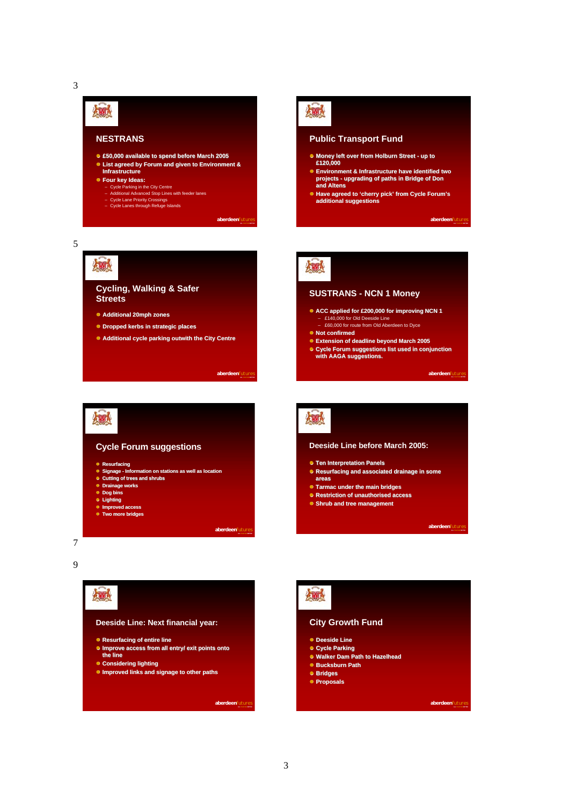

**Cycling, Walking & Safer**

! **Additional 20mph zones Additional 20mph zones** ! **Dropped kerbs in strategic places Dropped strategic places**

**Streets**



#### **Public Transport Fund**

- ! **Money left over from Holburn Street up to Money left over £120,000 £120,000**
- ! **Environment & Infrastructure have identified two Environment & Infrastructure have identified two projects upgrading of paths in Bridge of Don projects and Altens and Altens**
- ! **Have agreed to 'cherry pick' from Cycle Forum's Have additional suggestions additional suggestions**

**aberdeen***futures* **ALL TOGETHER BETTER**





#### **SUSTRANS - NCN 1 Money**

- ! **ACC applied for £200,000 for improving NCN 1 ACC applied for £200,000 for improving NCN 1** – £140,000 for Old Deeside Line
	- £60,000 for route from Old Aberdeen to Dyce
- ! **Not confirmed Not confirmed**
- ! **Extension of deadline beyond March 2005 March 2005**
- ! **Cycle Forum suggestions list used in conjunction Forum suggestions list used in conjunction with AAGA suggestions. AAGA suggestions.**

**aberdeen***futures* 



! **Additional cycle parking outwith the City Centre Additional cycle parking outwith the City Centre**



**aberdeen***futures* **ALL TOGETHER BETTER**

**aberdeen***futures* **ALL TOGETHER BETTER**

爆

#### **Deeside Line before March 2005:**

- ! **Ten Interpretation Panels Panels**
- ! **Resurfacing and associated drainage in some Resurfacing and associated drainage in some areas**
- ! **Tarmac under the main bridges Tarmac under the main**
- ! **Restriction of unauthorised access Restriction of unauthorised access**
- ! **Shrub and tree management Shrub tree management**

**aberdeen***futul* 

7 9



## 爆 **City Growth Fund**

- ! **Deeside Deeside Line**
- ! **Cycle Parking Cycle Parking**
- ! **Walker Dam Path to Hazelhead Walker Hazelhead**
- ! **Bucksburn Path Bucksburn Path**
- ! **Bridges Bridges**
- ! **Proposals Proposals**

**aberdeen***futures* **ALL TOGETHER BETTER**